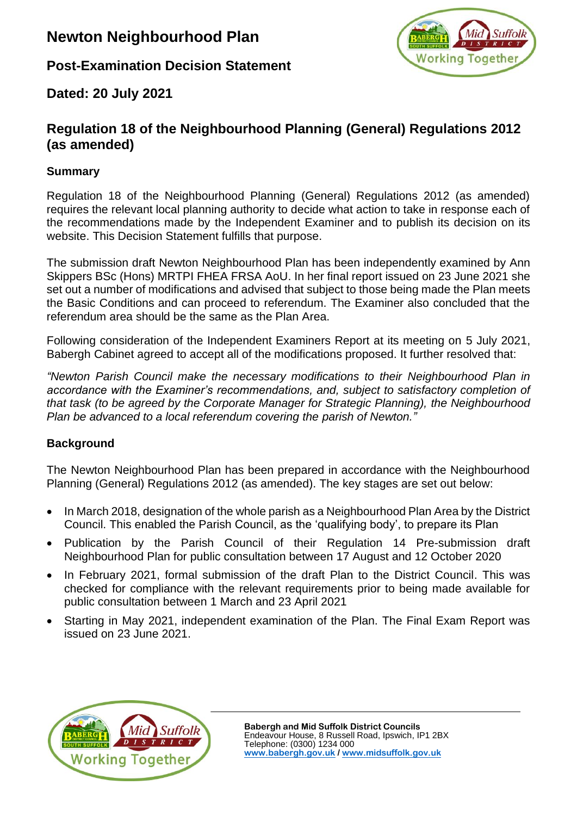# **Newton Neighbourhood Plan**

**Post-Examination Decision Statement**



**Dated: 20 July 2021**

# **Regulation 18 of the Neighbourhood Planning (General) Regulations 2012 (as amended)**

## **Summary**

Regulation 18 of the Neighbourhood Planning (General) Regulations 2012 (as amended) requires the relevant local planning authority to decide what action to take in response each of the recommendations made by the Independent Examiner and to publish its decision on its website. This Decision Statement fulfills that purpose.

The submission draft Newton Neighbourhood Plan has been independently examined by Ann Skippers BSc (Hons) MRTPI FHEA FRSA AoU. In her final report issued on 23 June 2021 she set out a number of modifications and advised that subject to those being made the Plan meets the Basic Conditions and can proceed to referendum. The Examiner also concluded that the referendum area should be the same as the Plan Area.

Following consideration of the Independent Examiners Report at its meeting on 5 July 2021, Babergh Cabinet agreed to accept all of the modifications proposed. It further resolved that:

*"Newton Parish Council make the necessary modifications to their Neighbourhood Plan in accordance with the Examiner's recommendations, and, subject to satisfactory completion of that task (to be agreed by the Corporate Manager for Strategic Planning), the Neighbourhood Plan be advanced to a local referendum covering the parish of Newton."*

### **Background**

The Newton Neighbourhood Plan has been prepared in accordance with the Neighbourhood Planning (General) Regulations 2012 (as amended). The key stages are set out below:

- In March 2018, designation of the whole parish as a Neighbourhood Plan Area by the District Council. This enabled the Parish Council, as the 'qualifying body', to prepare its Plan
- Publication by the Parish Council of their Regulation 14 Pre-submission draft Neighbourhood Plan for public consultation between 17 August and 12 October 2020
- In February 2021, formal submission of the draft Plan to the District Council. This was checked for compliance with the relevant requirements prior to being made available for public consultation between 1 March and 23 April 2021
- Starting in May 2021, independent examination of the Plan. The Final Exam Report was issued on 23 June 2021.